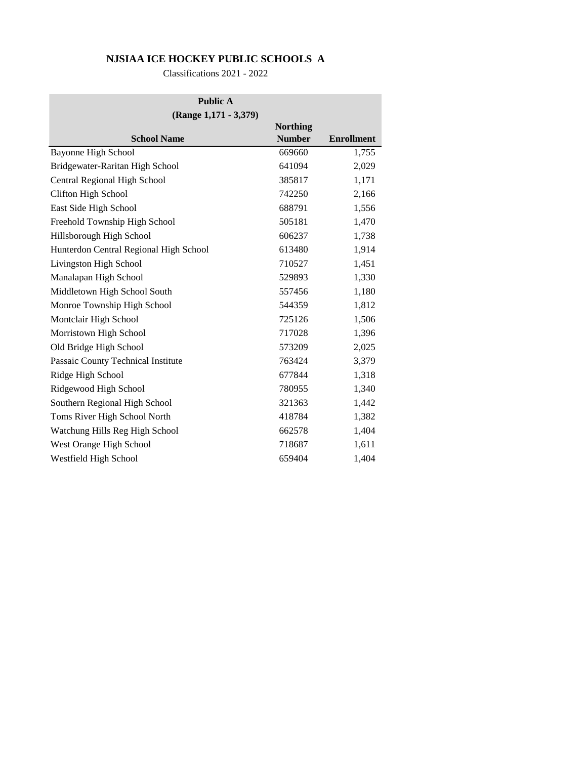## **NJSIAA ICE HOCKEY PUBLIC SCHOOLS A**

Classifications 2021 - 2022

| <b>Public A</b>                        |                 |                   |  |  |
|----------------------------------------|-----------------|-------------------|--|--|
| (Range 1,171 - 3,379)                  |                 |                   |  |  |
|                                        | <b>Northing</b> |                   |  |  |
| <b>School Name</b>                     | <b>Number</b>   | <b>Enrollment</b> |  |  |
| <b>Bayonne High School</b>             | 669660          | 1,755             |  |  |
| Bridgewater-Raritan High School        | 641094          | 2,029             |  |  |
| Central Regional High School           | 385817          | 1,171             |  |  |
| Clifton High School                    | 742250          | 2,166             |  |  |
| East Side High School                  | 688791          | 1,556             |  |  |
| Freehold Township High School          | 505181          | 1,470             |  |  |
| Hillsborough High School               | 606237          | 1,738             |  |  |
| Hunterdon Central Regional High School | 613480          | 1,914             |  |  |
| Livingston High School                 | 710527          | 1,451             |  |  |
| Manalapan High School                  | 529893          | 1,330             |  |  |
| Middletown High School South           | 557456          | 1,180             |  |  |
| Monroe Township High School            | 544359          | 1,812             |  |  |
| Montclair High School                  | 725126          | 1,506             |  |  |
| Morristown High School                 | 717028          | 1,396             |  |  |
| Old Bridge High School                 | 573209          | 2,025             |  |  |
| Passaic County Technical Institute     | 763424          | 3,379             |  |  |
| Ridge High School                      | 677844          | 1,318             |  |  |
| Ridgewood High School                  | 780955          | 1,340             |  |  |
| Southern Regional High School          | 321363          | 1,442             |  |  |
| Toms River High School North           | 418784          | 1,382             |  |  |
| Watchung Hills Reg High School         | 662578          | 1,404             |  |  |
| West Orange High School                | 718687          | 1,611             |  |  |
| Westfield High School                  | 659404          | 1,404             |  |  |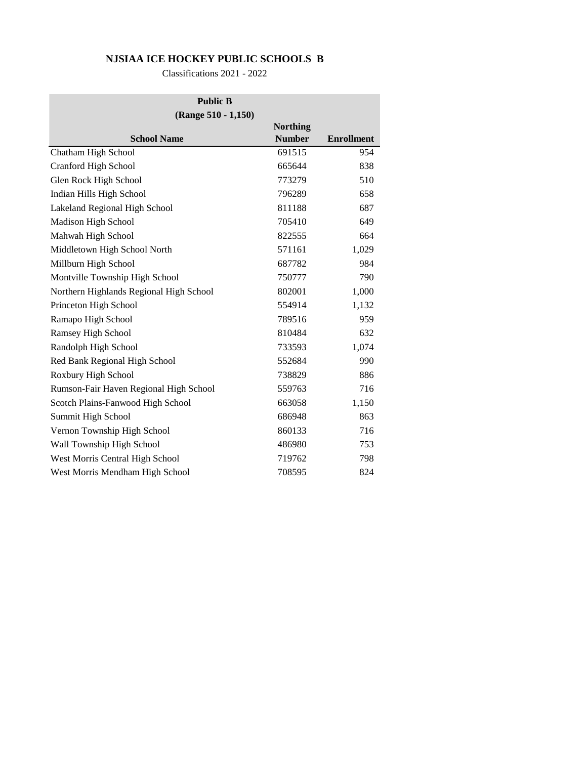## **NJSIAA ICE HOCKEY PUBLIC SCHOOLS B**

Classifications 2021 - 2022

| <b>Public B</b>                         |                 |                   |  |  |
|-----------------------------------------|-----------------|-------------------|--|--|
| (Range 510 - 1,150)                     |                 |                   |  |  |
|                                         | <b>Northing</b> |                   |  |  |
| <b>School Name</b>                      | <b>Number</b>   | <b>Enrollment</b> |  |  |
| Chatham High School                     | 691515          | 954               |  |  |
| Cranford High School                    | 665644          | 838               |  |  |
| Glen Rock High School                   | 773279          | 510               |  |  |
| Indian Hills High School                | 796289          | 658               |  |  |
| Lakeland Regional High School           | 811188          | 687               |  |  |
| Madison High School                     | 705410          | 649               |  |  |
| Mahwah High School                      | 822555          | 664               |  |  |
| Middletown High School North            | 571161          | 1,029             |  |  |
| Millburn High School                    | 687782          | 984               |  |  |
| Montville Township High School          | 750777          | 790               |  |  |
| Northern Highlands Regional High School | 802001          | 1,000             |  |  |
| Princeton High School                   | 554914          | 1,132             |  |  |
| Ramapo High School                      | 789516          | 959               |  |  |
| Ramsey High School                      | 810484          | 632               |  |  |
| Randolph High School                    | 733593          | 1,074             |  |  |
| Red Bank Regional High School           | 552684          | 990               |  |  |
| Roxbury High School                     | 738829          | 886               |  |  |
| Rumson-Fair Haven Regional High School  | 559763          | 716               |  |  |
| Scotch Plains-Fanwood High School       | 663058          | 1,150             |  |  |
| Summit High School                      | 686948          | 863               |  |  |
| Vernon Township High School             | 860133          | 716               |  |  |
| Wall Township High School               | 486980          | 753               |  |  |
| West Morris Central High School         | 719762          | 798               |  |  |
| West Morris Mendham High School         | 708595          | 824               |  |  |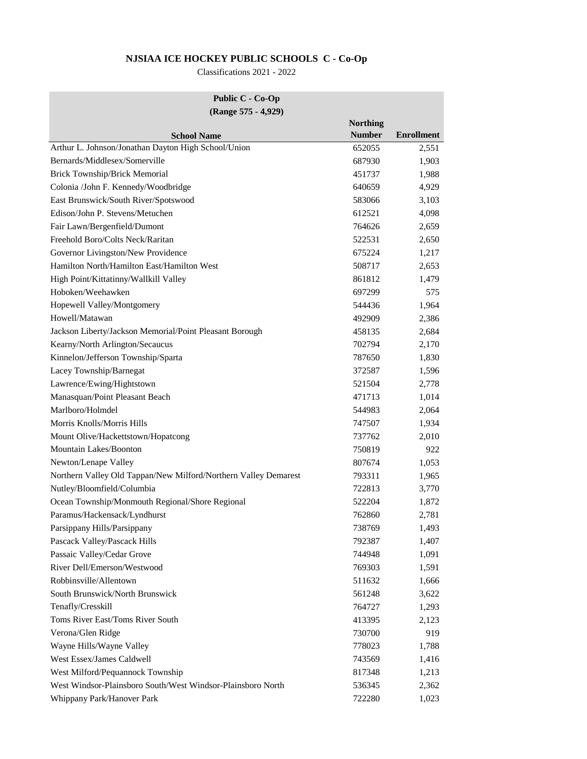# **NJSIAA ICE HOCKEY PUBLIC SCHOOLS C - Co-Op**

Classifications 2021 - 2022

#### **Public C - Co-Op (Range 575 - 4,929)**

| $\ldots, \ldots$                                                | <b>Northing</b> |                   |
|-----------------------------------------------------------------|-----------------|-------------------|
| <b>School Name</b>                                              | <b>Number</b>   | <b>Enrollment</b> |
| Arthur L. Johnson/Jonathan Dayton High School/Union             | 652055          | 2,551             |
| Bernards/Middlesex/Somerville                                   | 687930          | 1,903             |
| <b>Brick Township/Brick Memorial</b>                            | 451737          | 1,988             |
| Colonia /John F. Kennedy/Woodbridge                             | 640659          | 4,929             |
| East Brunswick/South River/Spotswood                            | 583066          | 3,103             |
| Edison/John P. Stevens/Metuchen                                 | 612521          | 4,098             |
| Fair Lawn/Bergenfield/Dumont                                    | 764626          | 2,659             |
| Freehold Boro/Colts Neck/Raritan                                | 522531          | 2,650             |
| Governor Livingston/New Providence                              | 675224          | 1,217             |
| Hamilton North/Hamilton East/Hamilton West                      | 508717          | 2,653             |
| High Point/Kittatinny/Wallkill Valley                           | 861812          | 1,479             |
| Hoboken/Weehawken                                               | 697299          | 575               |
| Hopewell Valley/Montgomery                                      | 544436          | 1,964             |
| Howell/Matawan                                                  | 492909          | 2,386             |
| Jackson Liberty/Jackson Memorial/Point Pleasant Borough         | 458135          | 2,684             |
| Kearny/North Arlington/Secaucus                                 | 702794          | 2,170             |
| Kinnelon/Jefferson Township/Sparta                              | 787650          | 1,830             |
| Lacey Township/Barnegat                                         | 372587          | 1,596             |
| Lawrence/Ewing/Hightstown                                       | 521504          | 2,778             |
| Manasquan/Point Pleasant Beach                                  | 471713          | 1,014             |
| Marlboro/Holmdel                                                | 544983          | 2,064             |
| Morris Knolls/Morris Hills                                      | 747507          | 1,934             |
| Mount Olive/Hackettstown/Hopatcong                              | 737762          | 2,010             |
| Mountain Lakes/Boonton                                          | 750819          | 922               |
| Newton/Lenape Valley                                            | 807674          | 1,053             |
| Northern Valley Old Tappan/New Milford/Northern Valley Demarest | 793311          | 1,965             |
| Nutley/Bloomfield/Columbia                                      | 722813          | 3,770             |
| Ocean Township/Monmouth Regional/Shore Regional                 | 522204          | 1,872             |
| Paramus/Hackensack/Lyndhurst                                    | 762860          | 2,781             |
| Parsippany Hills/Parsippany                                     | 738769          | 1,493             |
| Pascack Valley/Pascack Hills                                    | 792387          | 1,407             |
| Passaic Valley/Cedar Grove                                      | 744948          | 1,091             |
| River Dell/Emerson/Westwood                                     | 769303          | 1,591             |
| Robbinsville/Allentown                                          | 511632          | 1,666             |
| South Brunswick/North Brunswick                                 | 561248          | 3,622             |
| Tenafly/Cresskill                                               | 764727          | 1,293             |
| Toms River East/Toms River South                                | 413395          | 2,123             |
| Verona/Glen Ridge                                               | 730700          | 919               |
| Wayne Hills/Wayne Valley                                        | 778023          | 1,788             |
| West Essex/James Caldwell                                       | 743569          | 1,416             |
| West Milford/Pequannock Township                                | 817348          | 1,213             |
| West Windsor-Plainsboro South/West Windsor-Plainsboro North     | 536345          | 2,362             |
| Whippany Park/Hanover Park                                      | 722280          | 1,023             |